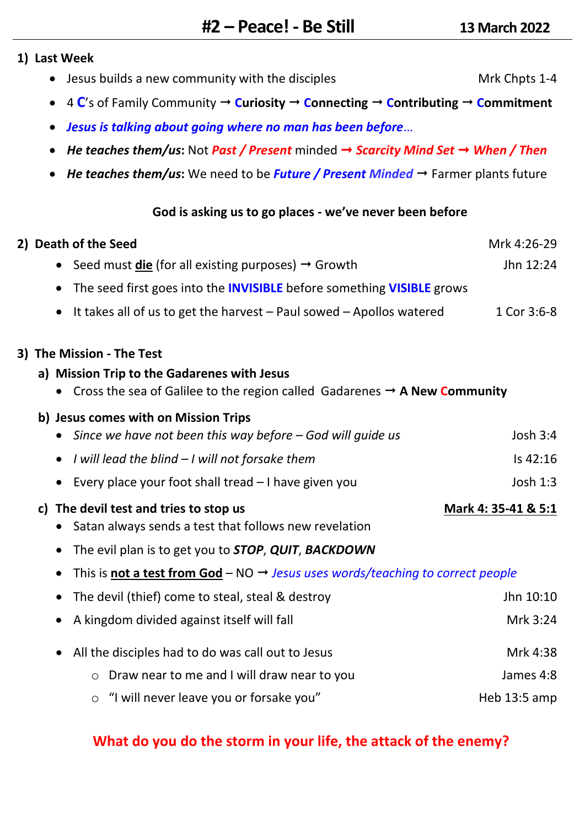### **1) Last Week**

- Jesus builds a new community with the disciples Mrk Chpts 1-4
- 4  $\mathbb{C}'$ s of Family Community  $\rightarrow$  Curiosity  $\rightarrow$  Connecting  $\rightarrow$  Contributing  $\rightarrow$  Commitment
- *Jesus is talking about going where no man has been before*…
- *He teaches them/us***:** Not *Past / Present* minded *Scarcity Mind Set When / Then*
- *He teaches them/us***:** We need to be *Future / Present Minded* Farmer plants future

## **God is asking us to go places - we've never been before**

| 2) Death of the Seed                                                                                    | Mrk 4:26-29         |
|---------------------------------------------------------------------------------------------------------|---------------------|
| Seed must <b>die</b> (for all existing purposes) $\rightarrow$ Growth<br>$\bullet$                      | Jhn 12:24           |
| The seed first goes into the <b>INVISIBLE</b> before something <b>VISIBLE</b> grows<br>$\bullet$        |                     |
| It takes all of us to get the harvest $-$ Paul sowed $-$ Apollos watered<br>$\bullet$                   | 1 Cor 3:6-8         |
| 3) The Mission - The Test                                                                               |                     |
| a) Mission Trip to the Gadarenes with Jesus                                                             |                     |
| • Cross the sea of Galilee to the region called Gadarenes $\rightarrow$ A New Community                 |                     |
| b) Jesus comes with on Mission Trips                                                                    |                     |
| Since we have not been this way before $-$ God will guide us                                            | Josh 3:4            |
| I will lead the blind - I will not forsake them<br>$\bullet$                                            | Is 42:16            |
| Every place your foot shall tread - I have given you<br>$\bullet$                                       | Josh 1:3            |
| c) The devil test and tries to stop us                                                                  | Mark 4: 35-41 & 5:1 |
| Satan always sends a test that follows new revelation<br>$\bullet$                                      |                     |
| The evil plan is to get you to STOP, QUIT, BACKDOWN<br>$\bullet$                                        |                     |
| This is not a test from God - NO $\rightarrow$ Jesus uses words/teaching to correct people<br>$\bullet$ |                     |
| The devil (thief) come to steal, steal & destroy<br>$\bullet$                                           | Jhn 10:10           |
| A kingdom divided against itself will fall                                                              | Mrk 3:24            |
| All the disciples had to do was call out to Jesus<br>$\bullet$                                          | Mrk 4:38            |
| Draw near to me and I will draw near to you<br>O                                                        | James 4:8           |
| "I will never leave you or forsake you"<br>O                                                            | Heb 13:5 amp        |

# **What do you do the storm in your life, the attack of the enemy?**